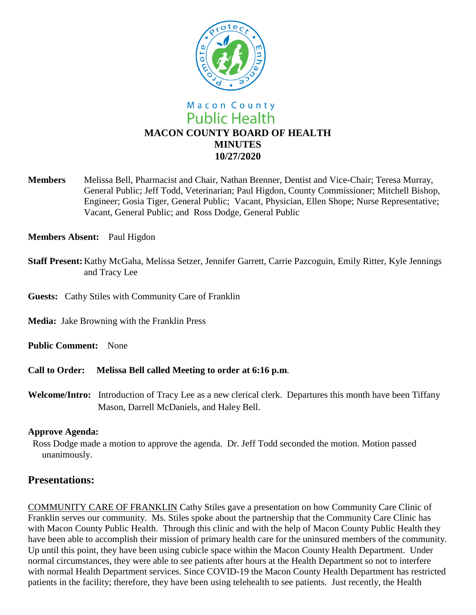

**Members** Melissa Bell, Pharmacist and Chair, Nathan Brenner, Dentist and Vice-Chair; Teresa Murray, General Public; Jeff Todd, Veterinarian; Paul Higdon, County Commissioner; Mitchell Bishop, Engineer; Gosia Tiger, General Public; Vacant, Physician, Ellen Shope; Nurse Representative; Vacant, General Public; and Ross Dodge, General Public

**Members Absent:** Paul Higdon

**Staff Present:** Kathy McGaha, Melissa Setzer, Jennifer Garrett, Carrie Pazcoguin, Emily Ritter, Kyle Jennings and Tracy Lee

**Guests:** Cathy Stiles with Community Care of Franklin

**Media:** Jake Browning with the Franklin Press

**Public Comment:** None

- **Call to Order: Melissa Bell called Meeting to order at 6:16 p.m**.
- **Welcome/Intro:** Introduction of Tracy Lee as a new clerical clerk. Departures this month have been Tiffany Mason, Darrell McDaniels, and Haley Bell.

## **Approve Agenda:**

Ross Dodge made a motion to approve the agenda. Dr. Jeff Todd seconded the motion. Motion passed unanimously.

# **Presentations:**

COMMUNITY CARE OF FRANKLIN Cathy Stiles gave a presentation on how Community Care Clinic of Franklin serves our community. Ms. Stiles spoke about the partnership that the Community Care Clinic has with Macon County Public Health. Through this clinic and with the help of Macon County Public Health they have been able to accomplish their mission of primary health care for the uninsured members of the community. Up until this point, they have been using cubicle space within the Macon County Health Department. Under normal circumstances, they were able to see patients after hours at the Health Department so not to interfere with normal Health Department services. Since COVID-19 the Macon County Health Department has restricted patients in the facility; therefore, they have been using telehealth to see patients. Just recently, the Health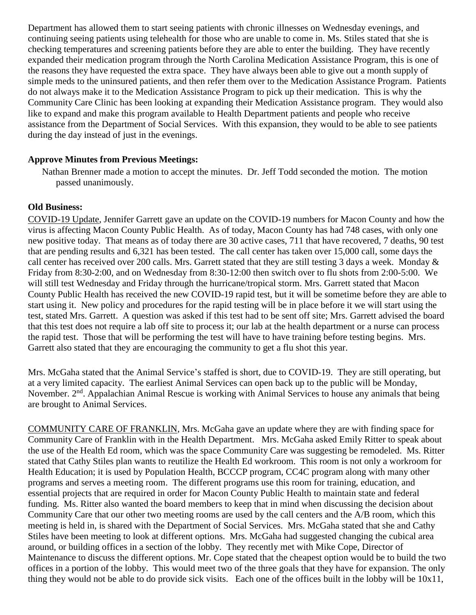Department has allowed them to start seeing patients with chronic illnesses on Wednesday evenings, and continuing seeing patients using telehealth for those who are unable to come in. Ms. Stiles stated that she is checking temperatures and screening patients before they are able to enter the building. They have recently expanded their medication program through the North Carolina Medication Assistance Program, this is one of the reasons they have requested the extra space. They have always been able to give out a month supply of simple meds to the uninsured patients, and then refer them over to the Medication Assistance Program. Patients do not always make it to the Medication Assistance Program to pick up their medication. This is why the Community Care Clinic has been looking at expanding their Medication Assistance program. They would also like to expand and make this program available to Health Department patients and people who receive assistance from the Department of Social Services. With this expansion, they would to be able to see patients during the day instead of just in the evenings.

### **Approve Minutes from Previous Meetings:**

 Nathan Brenner made a motion to accept the minutes. Dr. Jeff Todd seconded the motion. The motion passed unanimously.

### **Old Business:**

COVID-19 Update, Jennifer Garrett gave an update on the COVID-19 numbers for Macon County and how the virus is affecting Macon County Public Health. As of today, Macon County has had 748 cases, with only one new positive today. That means as of today there are 30 active cases, 711 that have recovered, 7 deaths, 90 test that are pending results and 6,321 has been tested. The call center has taken over 15,000 call, some days the call center has received over 200 calls. Mrs. Garrett stated that they are still testing 3 days a week. Monday & Friday from 8:30-2:00, and on Wednesday from 8:30-12:00 then switch over to flu shots from 2:00-5:00. We will still test Wednesday and Friday through the hurricane/tropical storm. Mrs. Garrett stated that Macon County Public Health has received the new COVID-19 rapid test, but it will be sometime before they are able to start using it. New policy and procedures for the rapid testing will be in place before it we will start using the test, stated Mrs. Garrett. A question was asked if this test had to be sent off site; Mrs. Garrett advised the board that this test does not require a lab off site to process it; our lab at the health department or a nurse can process the rapid test. Those that will be performing the test will have to have training before testing begins. Mrs. Garrett also stated that they are encouraging the community to get a flu shot this year.

Mrs. McGaha stated that the Animal Service's staffed is short, due to COVID-19. They are still operating, but at a very limited capacity. The earliest Animal Services can open back up to the public will be Monday, November. 2<sup>nd</sup>. Appalachian Animal Rescue is working with Animal Services to house any animals that being are brought to Animal Services.

COMMUNITY CARE OF FRANKLIN, Mrs. McGaha gave an update where they are with finding space for Community Care of Franklin with in the Health Department. Mrs. McGaha asked Emily Ritter to speak about the use of the Health Ed room, which was the space Community Care was suggesting be remodeled. Ms. Ritter stated that Cathy Stiles plan wants to reutilize the Health Ed workroom. This room is not only a workroom for Health Education; it is used by Population Health, BCCCP program, CC4C program along with many other programs and serves a meeting room. The different programs use this room for training, education, and essential projects that are required in order for Macon County Public Health to maintain state and federal funding. Ms. Ritter also wanted the board members to keep that in mind when discussing the decision about Community Care that our other two meeting rooms are used by the call centers and the A/B room, which this meeting is held in, is shared with the Department of Social Services. Mrs. McGaha stated that she and Cathy Stiles have been meeting to look at different options. Mrs. McGaha had suggested changing the cubical area around, or building offices in a section of the lobby. They recently met with Mike Cope, Director of Maintenance to discuss the different options. Mr. Cope stated that the cheapest option would be to build the two offices in a portion of the lobby. This would meet two of the three goals that they have for expansion. The only thing they would not be able to do provide sick visits. Each one of the offices built in the lobby will be 10x11,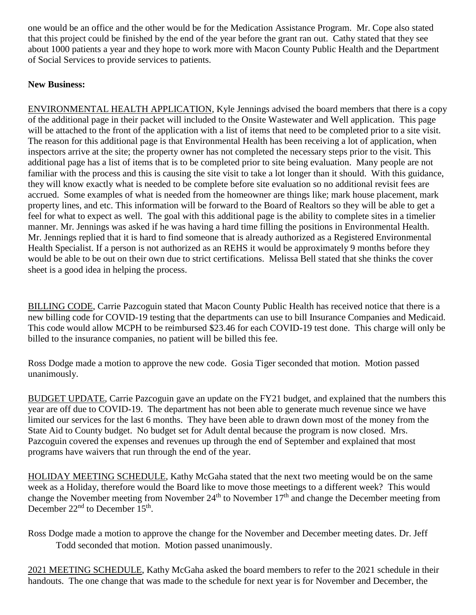one would be an office and the other would be for the Medication Assistance Program. Mr. Cope also stated that this project could be finished by the end of the year before the grant ran out. Cathy stated that they see about 1000 patients a year and they hope to work more with Macon County Public Health and the Department of Social Services to provide services to patients.

## **New Business:**

ENVIRONMENTAL HEALTH APPLICATION, Kyle Jennings advised the board members that there is a copy of the additional page in their packet will included to the Onsite Wastewater and Well application. This page will be attached to the front of the application with a list of items that need to be completed prior to a site visit. The reason for this additional page is that Environmental Health has been receiving a lot of application, when inspectors arrive at the site; the property owner has not completed the necessary steps prior to the visit. This additional page has a list of items that is to be completed prior to site being evaluation. Many people are not familiar with the process and this is causing the site visit to take a lot longer than it should. With this guidance, they will know exactly what is needed to be complete before site evaluation so no additional revisit fees are accrued. Some examples of what is needed from the homeowner are things like; mark house placement, mark property lines, and etc. This information will be forward to the Board of Realtors so they will be able to get a feel for what to expect as well. The goal with this additional page is the ability to complete sites in a timelier manner. Mr. Jennings was asked if he was having a hard time filling the positions in Environmental Health. Mr. Jennings replied that it is hard to find someone that is already authorized as a Registered Environmental Health Specialist. If a person is not authorized as an REHS it would be approximately 9 months before they would be able to be out on their own due to strict certifications. Melissa Bell stated that she thinks the cover sheet is a good idea in helping the process.

BILLING CODE, Carrie Pazcoguin stated that Macon County Public Health has received notice that there is a new billing code for COVID-19 testing that the departments can use to bill Insurance Companies and Medicaid. This code would allow MCPH to be reimbursed \$23.46 for each COVID-19 test done. This charge will only be billed to the insurance companies, no patient will be billed this fee.

Ross Dodge made a motion to approve the new code. Gosia Tiger seconded that motion. Motion passed unanimously.

BUDGET UPDATE, Carrie Pazcoguin gave an update on the FY21 budget, and explained that the numbers this year are off due to COVID-19. The department has not been able to generate much revenue since we have limited our services for the last 6 months. They have been able to drawn down most of the money from the State Aid to County budget. No budget set for Adult dental because the program is now closed. Mrs. Pazcoguin covered the expenses and revenues up through the end of September and explained that most programs have waivers that run through the end of the year.

HOLIDAY MEETING SCHEDULE, Kathy McGaha stated that the next two meeting would be on the same week as a Holiday, therefore would the Board like to move those meetings to a different week? This would change the November meeting from November  $24<sup>th</sup>$  to November 17<sup>th</sup> and change the December meeting from December 22<sup>nd</sup> to December 15<sup>th</sup>.

Ross Dodge made a motion to approve the change for the November and December meeting dates. Dr. Jeff Todd seconded that motion. Motion passed unanimously.

2021 MEETING SCHEDULE, Kathy McGaha asked the board members to refer to the 2021 schedule in their handouts. The one change that was made to the schedule for next year is for November and December, the